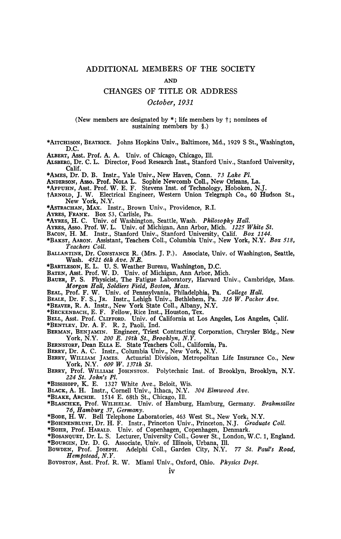## ADDITIONAL MEMBERS OF THE SOCIETY

## **AND**

## CHANGES OF TITLE OR ADDRESS

## *October, 1931*

(New members are designated by \*; life members by  $\dagger$ ; nominees of **sustaining members by §.)** 

**\*AITCHISON, BEATRICE. Johns Hopkins Univ., Baltimore, Md., 1929 S St., Washington, D.C.** 

**ALBERT, Asst. Prof. A. A. Univ. of Chicago, Chicago, 111.** 

**ALSBERG, Dr. C. L. Director, Food Research Inst., Stanford Univ., Stanford University, Calif.** 

**\*AMES, Dr. D. B. Instr., Yale Univ., New Haven, Conn.** *73 Lake PI.* 

**ANDERSON, Asso. Prof. NOLA L. Sophie Newcomb Coll., New Orleans, La.** 

**\*APPUHN, Asst. Prof. W. E. F. Stevens Inst, of Technology, Hoboken, NJ .** 

**fARNOLD, J. W. Electrical Engineer, Western Union Telegraph Co., 60 Hudson St., New York, N.Y.** 

**\*ASTRACHAN, MAX. Instr., Brown Univ., Providence, R.I.** 

**AYRES, FRANK. BOX 53, Carlisle, Pa. \*AYRES, H. C. Univ. of Washington, Seattle, Wash.** *Philosophy Hall.* 

**AYRES, Asso. Prof. W. L. Univ. of Michigan, Ann Arbor, Mich.** *1225 White St.* 

**BACON, H. M. Instr., Stanford Univ., Stanford University, Calif.** *Box 1144.* 

**\*BAKST, AARON. Assistant, Teachers Coll., Columbia Univ., New York, N.Y.** *Box 518, Teachers Coll.* 

**BALLANTINE, Dr. CONSTANCE R. (Mrs. J. P.). Associate, Univ. of Washington, Seattle, Wash.** *4521 6th Ave. N.E.* 

**•BARTLESON, E. L. U. S. Weather Bureau, Washington, D.C.** 

**BATEN, Asst. Prof. W. D. Univ. of Michigan, Ann Arbor, Mich.** 

**BAUER, P. S. Physicist, The Fatigue Laboratory, Harvard Univ., Cambridge, Mass.**  *Morgan Hall, Soldiers Field, Boston, Mass.* 

**BEAL, Prof. F. W. Univ. of Pennsylvania, Philadelphia, Pa.** *College Hall.* 

**BEALE, Dr. F. S., JR. Instr., Lehigh Univ., Bethlehem, Pa.** *316 W. Packer Ave.* 

**\*BEAVER, R. A. Instr., New York State Coll., Albany, N.Y.** 

**\*BECKENBACH, E. F. Fellow, Rice Inst., Houston, Tex.** 

**BELL, Asst. Prof. CLIFFORD. Univ. of California at Los Angeles, Los Angeles, Calif.** 

**•BENTLEY, Dr. A. F. R. 2, Paoli, Ind.** 

**BERMAN, BENJAMIN. Engineer, Triest Contracting Corporation, Chrysler Bldg., New York, N.Y.** *200 E. 19th St., Brooklyn, N.Y.* 

**BERNSTORF, Dean ELLA E. State Teachers Coll., California, Pa.** 

**BERRY, Dr. A, C. Instr., Columbia Univ., New York, N.Y.** 

**BERRY, WILLIAM JAMES. Actuarial Division, Metropolitan Life Insurance Co., New York, N.Y.** *609 W. 137th St.* 

**BERRY, Prof. WILLIAM JOHNSTON. Polytechnic Inst, of Brooklyn, Brooklyn, N.Y.**  *224 St. John's PL* 

**•BISSHOPP, K. E. 1327 White Ave., Beloit, Wis.** 

**BLACK, A. H. Instr., Cornell Univ., Ithaca, N.Y.** *304 Elmwood Ave.* 

**\*BLAKE, ARCHIE. 1514 E. 68th St., Chicago, 111. \*BLASCHKE, Prof. WILHELM. Univ. of Hamburg, Hamburg, Germany.** *Brahmsallee 76, Hamburg 37, Germany.* 

**\*BODE, H. W. Bell Telephone Laboratories, 463 West St., New York, N.Y.** 

**\*BOHNENBLUST, Dr. H. F. Instr., Princeton Univ., Princeton, N.J.** *Graduate Coll.* 

**\*BOHR, Prof. HARALD. Univ. of Copenhagen, Copenhagen, Denmark.** 

**\*BOSANQUET, Dr. L. S. Lecturer, University Coll., Gower St., London, W.C. 1, England. \*BOURGIN, Dr. D. G. Associate, Univ. of Illinois, Urbana, 111.** 

**BOWDEN, Prof. JOSEPH. Adelphi Coll., Garden City, N.Y.** *77 St. PauVs Road,*  BOWDEN, Prof. JOSEPH.<br> *Hempstead, N.Y.* 

**BOYDSTON, Asst. Prof. R. W. Miami Univ., Oxford, Ohio.** *Physics Dept.*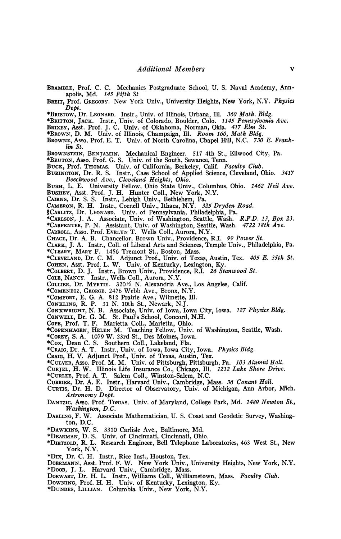**BRAMBLE, Prof. C. C. Mechanics Postgraduate School, U. S. Naval Academy, Annapolis, Md.** *145 Fifth St*  **BREIT, Prof. GREGORY. New York Univ., University Heights, New York, N.Y.** *Physics Dept.*  **\*BRISTOW, Dr. LEONARD. Instr., Univ. of Illinois, Urbana, 111.** *360 Math. Bldg.*  **•BRITTON, JACK. Instr., Univ. of Colorado, Boulder, Colo.** *1145 Pennsylvania Ave.*  **BRIXEY, Asst. Prof. J. C. Univ. of Oklahoma, Norman, Okla.** *417 Elm St.*  **•BROWN, D. M. Univ. of Illinois, Champaign, 111.** *Room 160, Math Bldg.*  BROWNE, Asso. Prof. E. T. Univ. of North Carolina, Chapel Hill, N.C. 730 E. Frank-<br>lin St. *lin St.*  **BROWNSTEIN, BENJAMIN. Mechanical Engineer. 517 4th St., Ellwood City, Pa. •BRUTON, Asso. Prof. G. S. Univ. of the South, Sewanee, Tenn. BUCK, Prof. THOMAS. Univ. of California, Berkeley, Calif.** *Faculty Club.*  **BURINGTON, Dr. R. S. Instr., Case School of Applied Science, Cleveland, Ohio.** *3417 Beechwood Ave., Cleveland Heights, Ohio.*  BUSHEY, Asst. Prof. J. H. Hunter Coll., New York, N.Y. **BUSHEY, ASST. 1101.** J. H. Hunter Coll., New York, N.Y.<br>Catens Dr S S Instr Lebigh Huiv Rethlehem Pa **CAMERON R. H. J. Instr., Lehigh Univ., Detinement, Pat. CARLITZ, Dr. LEONARD.** Univ. of Pennsylvania. Philadelphia. Pa. \*Carlson, J. A. Associate, Univ. of Washington, Seattle, Wash. \*CARPENTER, P. N. Assistant, Univ. of Washington, Seattle, Wash. 4722 18th Ave. CARROLL, Asso. Prof. EVELYN T. Wells Coll., Aurora, N.Y. CHACE, Dr. A. B. Chancellor, Brown Univ., Providence, R.I. 99 Power St. CLARK, J. A. Instr., Coll. of Liberal Arts and Sciences, Temple Univ., Philadelphia, Pa. \*CLEARY, MARY F. 1456 Tremont St., Boston, Mass. \*CLEVELAND, Dr. C. M. Adjunct Prof., Univ. of Texa **•COHEN, Asst. Prof. L. W.** Univ. of Kentucky, Lexington, Ky. \*COLBERT, D. J. Instr., Brown Univ., Providence, R.I. 26 Stanwood St. **•COLE, NANCY.** Instr., Wells Coll., Aurora, N.Y.<br>Collection Collection Collection St. **26 St.** 26 St. **26 St.** 26 St. **26 St.** 26 St. 26 St. 26 St. 26 St. 26 St. 26 St. 26 St. 26 St. 26 St. 26 St. 26 St. 26 St. 26 St. 26 **COLLIER, DT. MYRTIE.** 320<sup>72</sup> N. Alexandria Av **COMENETZ, GEORGE.** 2470 WEDD AVE., BIODX, IV.Y.<br>\*Confident F. C. A. 212 During Ave., Williamster, W **•COMFORI, E. G. A.** 612 FRANC AVE., WHITELLE, I.L.<br>Contribute D. D. 24 N. 10th Ct. Morrorly N.Y. **CONKLING, K. I.** Of IV. TOM St., IVEWAIK, IV.J.<br>Contruitional N. D. Associate, Huise of Lewis Journ. CONKWRIGHT, IV. D. Associate, CHIV. Of TOWA, TO<br>CONWELL DE C. M. St. Daul's School. Concord **CONKWRIGHT, N. B. Associate, Univ. of Iowa, Iowa City, Iowa.** *127 Physics Bldg.*  **COLE, ITON. ITT. EXERCIC CON, MEDICIN, CINO.**<br>\*COPENHAGEN HELEN M. Teaching Fellow Univ. of V **COREY, S. A.** 1079 W. 23rd St., Des Moines, Jowa **•COPENHAGEN, HELEN M. Teaching Fellow, Univ. of Washington, Seattle, Wash.**  \*CRAIG, Dr. A. T. Instr., Univ. of Iowa, Iowa City. 1 CRAIG, H. V. Adjunct Prof., Univ. of Texas, Austi \*CULVER, Asso. Prof. M. M. Univ. of Pittsburgh, Pittsburgh, Pa. 103 Alu CURJEL, H. W. Illinois Life Insurance Co., Chicago, Ill. 1212 Lake Shore Drive. \*CURLEE, Prof. A. T. Salem Coll., Winston-Salem, N.C. **CURRIER, Dr. A. E. Instr., Harvard Univ., Cambridge, Mass. 36 Conant Hall.** CURTIS, Dr. H. D. Director of Observatory, Univ. of **CURRIER, Dr. A. E. Instr., Harvard Univ., Cambridge, Mass.** *36 Conant Hall.*  DANTZIG, Asso. Prof. TOBIAS. Univ. of Maryland, College Park, Md. 1489 Newton St., *Washington, D.C.* DARLING, F. W. Associate Mathematician, U. S. Coast and Geodetic Survey, Washington, D.C. **\*DAWKINS, W. S. 3310 Carlisle Ave., Baltimore, Md. ton, D.C.**  \*DIETZOLD, R. L. Research Engineer, Bell Telephone L **Fig. 8. S. S. W. S. Eq. 2. University of Cincinnati, Ohio. Properties** \*DIx, Dr. C. H. Instr., Rice Inst., Houston, Tex. **York, N.Y.**  \*Doo**B**, J. L. Harvard Univ., Cambridge, Mass. DOERMART, Dr. H. L. Instr., Williams Coll., Williamstown, Mass. Faculty Club. **DOWNING, Prof. H. H. Univ. of Kentucky, Lexin DORWART, Dr. H. L. Instr., Williams Coll., Williamstown, Mass.** *Faculty Club.*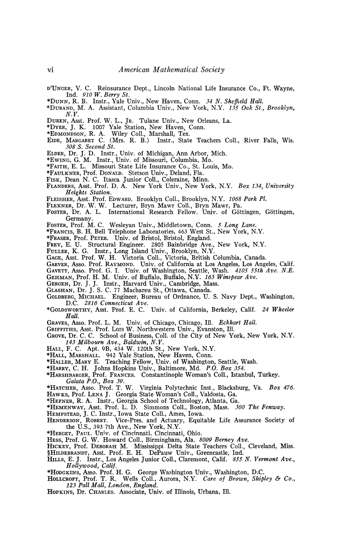- D'UNGER, V. C. Reinsurance Dept., Lincoln National Life Insurance Co., Ft. Wayne, Ind. *910 W. Berry St.*
- \*DUNN, R. B. Instr., Yale Univ., New Haven, Conn. *34 N. Sheffield Hall.*
- \*DURAND, M. A. Assistant, Columbia Univ., New York, N.Y. *135 Oak St., Brooklyn, N.Y.*
- DUREN, Asst. Prof. W. L., JR. Tulane Univ., New Orleans, La.
- \*DYER, J. K. 1007 Yale Station, New Haven, Conn.
- \*EDMONDSON, R. A. Wiley Coll., Marshall, Tex.
- EIDE, MARGARET C. (Mrs. R. B.) Instr., State Teachers Coll., River Falls, Wis. *308 S. Second St.*
- ELDER, Dr. J. D. Instr., Univ. of Michigan, Ann Arbor, Mich.
- \*EWING, G. M. Instr., Univ. of Missouri, Columbia, Mo.
- •FAITH, E. L. Missouri State Life Insurance Co., St. Louis, Mo.
- \*FAULKNER, Prof. DONALD. Stetson Univ., Deland, Fla.
- FISK, Dean N. C. Itasca Junior Coll., Coleraine, Minn.
- FLANDERS, Asst. Prof. D. A. New York Univ., New York, N.Y. *Box 134, University Heights Station.*
- FLEISHER, Asst. Prof. EDWARD. Brooklyn Coll., Brooklyn, N.Y. *1068 Park PI.*
- FLEXNER, Dr. W. W. Lecturer, Bryn Mawr Coll., Bryn Mawr, Pa.
- FOSTER, Dr. A. L. International Research Fellow. Univ. of Göttingen, Göttingen, Germany.
- FOSTER, Prof. M. C. Wesleyan Univ., Middletown, Conn. *5 Long Lane.*
- \*FRANCIS, B. H. Bell Telephone Laboratories, 463 West St., New York, N.Y.
- •FRASER, Prof. PETER. Univ. of Bristol, Bristol, England.
- FREY, E. U. Structural Engineer. 2805 Bainbridge Ave., New York, N.Y.
- FULLER, K. G. Instr., Long Island Univ., Brooklyn, N.Y.
- GAGE, Asst. Prof. W. H. Victoria Coll., Victoria, British Columbia, Canada.
- GARVER, Asso. Prof. RAYMOND. Univ. of California at Los Angeles, Los Angeles, Calif.
- GAVETT, ASSO. Prof. G. I. Univ. of Washington, Seattle, Wash. *4105 55th Ave. N.Ê.*
- GEHMAN, Prof. H. M. Univ. of Buffalo, Buffalo, N.Y. *163 Winspear Ave.*
- GERGEN, Dr. J. J. Instr., Harvard Univ., Cambridge, Mass.
- GLASHAN, Dr. J. S. C. 77 Machareu St., Ottawa, Canada.
- GOLDBERG, MICHAEL. Engineer, Bureau of Ordnance, U. S. Navy Dept., Washington, D.C. *2816 Connecticut Ave.*
- •GOLDSWORTHY, Asst. Prof. E. C. Univ. of California, Berkeley, Calif. *24 Wheeler Hall.*
- GRAVES, Asso. Prof. L. M. Univ. of Chicago, Chicago, 111. *Eckhart Hall.*
- GRIFFITHS, Asst. Prof. Lois W. Northwestern Univ., Evanston, 111.
- GROVE, Dr. C. C. School of Business, Coll. of the City of New York, New York, N.Y. *143 Milbourn Ave., Baldwin, N.Y.*
- HALL, F. C. Apt. 9B, 434 W. 120th St., New York, N.Y.
- •HALL, MARSHALL. 942 Yale Station, New Haven, Conn.
- \*HALLER, MARY E. Teaching Fellow, Univ. of Washington, Seattle, Wash.
- •HARRY, C. H. Johns Hopkins Univ., Baltimore, Md. *P.O. Box 354.*
- •HARSHBARGER, Prof. FRANCES. Constantinople Woman's Coll., Istanbul, Turkey. *Galata P.O., Box 39.*
- •HATCHER, ASSO. Prof. T. W. Virginia Polytechnic Inst., Blacksburg, Va. *Box 476.*  HAWKS, Prof. LENA J. Georgia State Woman's Coll., Valdosta, Ga.
- •HEFNER, R. A. Instr., Georgia School of Technology, Atlanta, Ga.

•HEMENWAY, Asst. Prof. L. D. Simmons Coll., Boston, Mass. *300 The Fenway.* 

- HEMPSTEAD, J. C. Instr., Iowa State Coll., Ames, Iowa.
- HENDERSON, ROBERT. Vice-Pres. and Actuary, Equitable Life Assurance Society of the U.S., 393 7th Ave., New York, N.Y.
- •HERGET, PAUL. Univ. of Cincinnati, Cincinnati, Ohio.
- HESS, Prof. G. W. Howard Coll., Birmingham, Ala. *8009 Berney Ave.*
- HICKEY, Prof. DEBORAH M. Mississippi Delta State Teachers Coll., Cleveland, Miss.
- §HILDEBRANDT, Asst. Prof. E. H. DePauw Univ., Greencastle, Ind.
- HILLS, E. J. Instr., Los Angeles Junior Coll., Claremont, Calif. *855 N. Vermont Ave., Hollywood, Calif.*
- •HODGKINS, ASSO. Prof. H. G. George Washington Univ., Washington, D.C.
- HOLLCROFT, Prof. T. R. Wells Coll., Aurora, N.Y. *Care of Brown, Shipley & Co., 123 Pall Mall, London, England.*
- HOPKINS, Dr. CHARLES. Associate, Univ. of Illinois, Urbana, 111.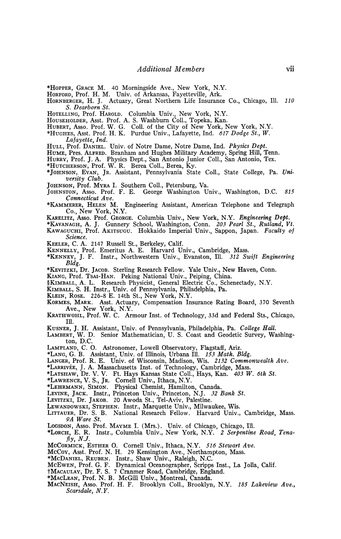\*HOPPER, GRACE M. 40 Morningside Ave., New York, N.Y.

HORFORD, Prof. H. M. Univ. of Arkansas, Fayetteville, Ark.

HORNBERGER, H. J. Actuary, Great Northern Life Insurance Co., Chicago, 111. *110 S. Dearborn St.* 

HOTELLING, Prof. HAROLD. Columbia Univ., New York, N.Y.

HOUSEHOLDER, Asst. Prof. A. S. Washburn Coll., Topeka, Kan.

HUBERT, ASSO. Prof. W. G. Coll. of the City of New York, New York, N.Y.

\*HUGHES, Asst. Prof. H. K. Purdue Univ., Lafayette, Ind. *617 Dodge St., W.* 

*Lafayette, Ind.* 

HULL, Prof. DANIEL. Univ. of Notre Dame, Notre Dame, Ind. *Physics Dept.* 

HUME, Pres. ALFRED. Branham and Hughes Military Academy, Spring Hill, Tenn.

HURRY, Prof. J. A. Physics Dept., San Antonio Junior Coll., San Antonio, Tex.

\*HUTCHERSON, Prof. W. R. Berea Coll., Berea, Ky.

\*JOHNSON, EVAN, JR. Assistant, Pennsylvania State Coll., State College, Pa. *University Club.* 

JOHNSON, Prof. MYRA I. Southern Coll., Petersburg, Va.

JOHNSTON, ASSO. Prof. F. E. George Washington Univ., Washington, D.C. *815 Connecticut Ave.* 

Kamering Assistant, American Telephone and Telegraph Co., New York, N.Y.

KARELITZ, Asso. Prof. GEORGE. Columbia Univ., New York, N.Y. *Engineering Dept.* 

\*KAVANAGH, A. J. Gunnery School, Washington, Conn. *203 Pearl St., Rutland, Vt.*  KAWAGUCHI, Prof. AKITSUGU. Hokkaido Imperial Univ., Sappon, Japan. *Faculty of* 

*Science.* 

KEELER, C. A. 2147 Russell St., Berkeley, Calif.

KENNELLY, Prof. Emeritus A. E. Harvard Univ., Cambridge, Mass.<br>\*KENNEY, J. F. Instr., Northwestern Univ., Evanston, Ill. 312 Swift Engineering \*KENNEY, J. F. Instr., Northwestern Univ., Evanston, Ill. *Bldg.* 

\*KEVITZKI, Dr. JACOB. Sterling Research Fellow. Yale Univ., New Haven, Conn.

KIANG, Prof. TSAI-HAN. Peking National Univ., Peiping, China.

§KIMBALL, A. L. Research Physicist, General Electric Co., Schenectady, N.Y.

KIMBALL, S. H. Instr., Univ. of Pennsylvania, Philadelphia, Pa.

KLEIN, ROSE. 226-8 E. 14th St., New York, N.Y. KORMES, MARK. Asst. Actuary, Compensation Insurance Rating Board, 370 Seventh Ave., New York, N.Y.

KRATHWOHL, Prof. W. C. Armour Inst, of Technology, 33d and Federal Sts., Chicago, 111.

KUSNER, J. H. Assistant, Univ. of Pennsylvania, Philadelphia, Pa. *College Hall.* 

LAMBERT, W. D. Senior Mathematician, U. S. Coast and Geodetic Survey, Washington, D.C.<br>LAMPLAND, C. O.

Astronomer, Lowell Observatory, Flagstaff, Ariz.

\*LANG, G. B. Assistant, Univ. of Illinois, Urbana 111. *153 Math. Bldg.* 

LANGER, Prof. R. E. Univ. of Wisconsin, Madison, Wis. *2132 Commonwealth Ave.* 

- \*LARRIVÉE, J. A. Massachusetts Inst, of Technology, Cambridge, Mass.
- \*LATSHAW, Dr. V. V. Ft. Hays Kansas State Coll., Hays, Kan. *403 W. 6th St.*

\*LAWRENCE, V. S., JR. Cornell Univ., Ithaca, N.Y. \*LEHRMANN, SIMON. Physical Chemist, Hamilton, Canada.

LEVINE, JACK. Instr., Princeton Univ., Princeton, N.J. *32 Bank St.* 

LEVITZKI, Dr. JAKOB. 20 Awoda St., Tel-Aviv, Palestine.

LEWANDOWSKI, STEPHEN. Instr., Marquette Univ., Milwaukee, Wis.

LITTAUER, Dr. S. B. National Research Fellow. Harvard Univ., Cambridge, Mass. *PA Ware St.* 

LOGSDON, ASSO. Prof. MAYME I. (Mrs.). Univ. of Chicago, Chicago, 111.

\*LORCH, E. R. Instr., Columbia Univ., New York, N.Y. *2 Serpentine Road, Tenafly, NJ.* 

MCCORMICK, ESTHER O. Cornell Univ., Ithaca, N.Y. *516 Stewart Ave.* 

MCCOY, Asst. Prof. N. H. 29 Kensington Ave., Northampton, Mass.

\*MCDANIEL, REUBEN. Instr., Shaw Univ., Raleigh, N.C.

MCEWEN, Prof. G. F. Dynamical Oceanographer, Scripps Inst., La Jolla, Calif.

fMACAULAY, Dr. F. S. 7 Cranmer Road, Cambridge, England.

\*MACLEAN, Prof. N. B. McGill Univ., Montreal, Canada.

MACNEISH, ASSO. Prof. H. F. Brooklyn Coll., Brooklyn, N.Y. *185 Lakeview Ave., Scarsdale, N.Y.*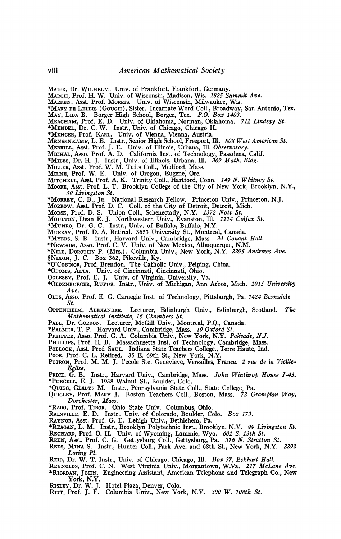- **MAIER, Dr. WILHELM. Univ. of Frankfort, Frankfort, Germany.**
- **MARCH, Prof. H. W. Univ. of Wisconsin, Madison, Wis.** *1825 Summit Ave.*
- **MARDEN, Asst. Prof. MORRIS. Univ. of Wisconsin, Milwaukee, Wis.**
- **\*MARY DE LELLIS (GOUGH), Sister. Incarnate Word Coll., Broadway, San Antonio, Tex.**
- **MAY, LIDA B. Borger High School, Borger, Tex.** *P.O. Box 1403.*
- **MEACHAM, Prof. E. D. Univ. of Oklahoma, Norman, Oklahoma.** *712 Lindsay St.*
- **\*MENDEL, Dr. C. W. Instr., Univ. of Chicago, Chicago 111.**
- **•MENGER, Prof. KARL. Univ. of Vienna, Vienna, Austria.**

**MENSENKAMP, L. E. Instr., Senior High School, Freeport, 111.** *808 West American St.* 

- **MERRILL, Asst. Prof. J. E. Univ. of Illinois, Urbana, 111.** *Observatory.*
- **MICHAL, ASSO. PROF. I.C. D. California Inst. of Technology, Passacrial, Calif.**
- **MILER, Asst. Prof. W. M. Tufts Coll., Medford, Mass.**
- 
- MILNE, Prof. W. E. Univ. of Oregon. Eugene. Ore.
- MITCHELL, Asst. Prof. A. K. Trinity Coll., Hartford, O
- Moore, Asst. Prof. L. T. Brooklyn College of the City of New York, Brooklyn **Moore** *Moore**MOORE***, <b>***MOORE MOORE COLLEGE OF THE COLLEGE OF THE CITY OF THE CITY OF THE CITY OF THE CITY OF THE CITY OF THE CITY OF THE CITY OF THE CITY OF THE CITY OF THE CITY OF THE CITY OF THE CITY OF THE*
- *69, C. B., Jr. N*
- **MORROW, Asst. Prof. D. C.** Coll. of the City of Detroit, Detroit, Mich.
- Morse, Prof. D. S. Union Coll., Schenectady, N.Y. 1372 Nott St.
- Moutron, Dean E. J. Northwestern Univ., Evanston, Ill. 1114 Col
- \*MUNRO, Dr. G. C. Instr., Univ. of Buffalo, Buffalo, N.Y.
- MURRAY, Prof. D. A. Retired. 3653 University St., Montreal
- \*MYERS, S. B. Instr., Harvard Univ., Cambridge, Mass. 34 Conant
- \*Newsom, Asso. Prof. C. V. Univ. of New Mexico, Albuquerque, N.M.
- \*NILE, DOROTHY P. (Mrs.). Columbia Univ., New York, N.Y. 2295 A **\*NIXON, J. C.** Box 362, Pikeville, Ky.
- \*O'CONNOR, Prof. Brendon. The Catholic Univ., Peiping, China.
- \*ODOMS, ALTA. Univ. of Cincinnati, Cincinnati, Ohio.
- OGLESBY, Prof. E. J. Univ. of Virginia, University, Va.<br>\*OLDENBURGER, RUFUS. Instr., Univ. of Michigan, Ann *1*
- **\*OLDENBURGER, RUFUS. Instr., Univ. of Michigan, Ann Arbor, Mich.** *1015 University*
- *Ave.*  **OLDS, Asso. Prof. E. G. Carnegie Inst, of Technology, Pittsburgh, Pa.** *1424 Barnsdale*
- OPPENHEIM, ALEXANDER. Lecturer, Edinburgh Univ., Edinburgh, Scotland. The Mathematical Institute, 16 Chambers St.
- PALL, Dr. GORDON. Lecturer, McGill Univ., Montreal, P.Q., Canada.
- \*PALMER, T. P. Harvard Univ., Cambridge, Mass. 19 Oxford St.
- PFEIFFER, Asso. Prof. G. A. Columbia Univ., New York, N.Y. Palisade, N.J.<br>PHILLIPS. Prof. H. B. Massachusetts Inst. of Technology. Cambridge. Mass.
- 
- **POLLOCK.** Asst. Prof. SAUL. Indiana State Teachers College.. Terre Haute. Ind.
- **POOR.** Prof. C. L. Retired. 35 E. 69th St., New York, N.Y.
- **POTRON, Prof. M. M. I. Pecole Ste. Genevieve, Versailles, Fr POTRON, Prof. M. M. J. l'ecole Ste. Genevieve, Versailles, France.** *2 rue de la Vieille-*
- $\overline{G}$ .  $\overline{B}$ . **PRICE, G. B. Instr., Harvard Univ., Cambridge, Mass.** *John Winthrop House J-43.*
- **\*PURCELL, E. J. 1938 Walnut St., Boulder, Colo.**
- QUIGLEY, Prof. MARY J. Boston Teachers Coll., Boston, Mass. *72 Grampian Way,*<br>Dorchester. Mass. *Dorchester, Mass.*
- 
- **RAINVILLE F. D. Instr. Thiy of Colorado. Boulder.** Co.
- **RAYNOR, Asst. Prof. G. E. Lehigh Univ., Bethlehem, Pa.**<br> **RAYNOR, Asst. Prof. G. E. Lehigh Univ., Bethlehem, Pa.**<br> **\*REAGAN. I. M.** Instr. Brooklyn Polytechnic Inst. Brooklyn N.V. 00
- **RECHARD, P. M. Inst., Brooklyn Polytechnic Inst., Brooklyn, N.Y.**<br>**RECHARD, Prof. O. H. Univ. of Wyoming, Laramie, Wyo.** 601 S. 13th St. *13th St.* **Rechard, N. Stratton St.**
- 
- **REEN, Asst. Prof. C. G. Gettysburg Coll., Gettysburg, Pa.** *316 N. Stratton St.*  **REES, MINA S. Instr., Hunter Coll., Park Ave. and 68th St., New York, N.Y.** *2292*
- *Loring PL*  **REID, Dr. W. T. Instr., Univ. of Chicago, Chicago, 111.** *Box 37, Eckhart Hall.*
- **REYNOLDS, Prof. C. N. West Virginia Univ., Morgantown, W.Va.** *217 McLane Ave.*  **\*RIORDAN, JOHN. Engineering Assistant, American Telephone and Telegraph Co., New**
- **York, N.Y.**
- **RISLEY, Dr. W. J. Hotel Plaza, Denver, Colo. RITT, Prof. J. F. Columbia Univ., New York, N.Y.** *300 W. 108th St.*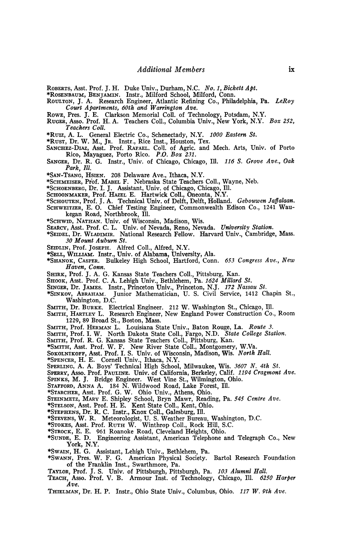**ROBERTS, Asst. Prof. J. H. Duke Univ., Durham, N.C.** *No. 1, Bickett Apt.* 

**\*ROSENBAUM, BENJAMIN. Instr., Milford School, Milford, Conn.** 

**ROULTON, J. A. Research Engineer, Atlantic Refining Co., Philadelphia, Pa.** *LeRoy Court Apartments, 60th and Warrington Ave.* 

**ROWE, Pres. J. E. Clarkson Memorial Coll. of Technology, Potsdam, N.Y.** 

**RUGER, Asso. Prof. H. A. Teachers Coll., Columbia Univ., New York, N.Y.** *Box 252, Teachers Coll.* 

**\*Ruiz, A. L. General Electric Co., Schenectady, N.Y.** *1000 Eastern St.* 

**\*RUST, Dr. W. M., JR. Instr., Rice Inst., Houston, Tex.** 

- **SANCHEZ-DIAZ, Asst. Prof. RAFAEL. Coll. of Agric. and Mech. Arts, Univ. of Porto Rico, Mayaguez, Porto Rico.** *P.O. Box 231.*
- **SANGER, Dr. R. G. Instr., Univ. of Chicago, Chicago, 111.** *116 S. Grove Ave., Oak Park, 111.*
- **\*SAN-TSANG, HSIEN. 208 Delaware Ave., Ithaca, N.Y.**

**\*SCHMEISER, Prof. MABEL F. Nebraska State Teachers Coll., Wayne, Neb.** 

- **•SCHOENBERG, Dr. I. J. Assistant, Univ. of Chicago, Chicago, 111.**
- **SCHOONMAKER, Prof. HAZEL E. Hartwick Coll., Oneonta, N.Y.**
- **•SCHOUTEN, Prof. J. A. Technical Univ. of Delft, Delft, Holland.** *Gebouwen Jagalaan.*  **SCHWEITZER, E. O. Chief Testing Engineer, Commonwealth Edison Co., 1241 Wau-**
- **kegan Road, Northbrook, 111.**
- **\*SCHWID, NATHAN. Univ. of Wisconsin, Madison, Wis.**
- **SEARCY, Asst. Prof. C. L. Univ. of Nevada, Reno, Nevada.** *University Station.*  **\*SEIDEL, Dr. WLADIMIR. National Research Fellow. Harvard Univ., Cambridge, Mass.**  *30 Mount Auburn St.*
- **SEIDLIN, Prof. JOSEPH. Alfred Coll., Alfred, N.Y.**
- **•SELL, WILLIAM. Instr., Univ. of Alabama, University, Ala.**
- **•SHANOK, CASPER. Bulkeley High School, Hartford, Conn.** *653 Congress Ave., New Haven, Conn.*
- **SHIRK, Prof. J. A. G. Kansas State Teachers Coll., Pittsburg, Kan.**

**SHOOK, Asst. Prof. C. A. Lehigh Univ., Bethlehem, Pa.** *1624 Millard St.* 

- **SINGER, Dr, JAMES. Instr., Princeton Univ., Princeton, N.J.** *172 Nassau St.*
- **\*SINKOV, ABRAHAM. Junior Mathematician, U. S. Civil Service, 1412 Chapin St., Washington, D.C.**
- SMITH, Dr. BURKE. Electrical Engineer. 212 W. Washington St., Chicago, Ill.
- **SMITH, HARTLEY L. Research Engineer, New England Power Construction Co., Room 1229, 89 Broad St., Boston, Mass.**

**SMITH, Prof. HERMAN L. Louisiana State Univ., Baton Rouge, La.** *Route 3.* 

**SMITH, Prof. I. W. North Dakota State Coll., Fargo, N.D.** *State College Station.* 

**SMITH, Prof. R. G. Kansas State Teachers Coll., Pittsburg, Kan.** 

**•SMITH, Asst. Prof. W. F. New River State Coll., Montgomery, W.Va.** 

- **SOKOLNIKOFF, Asst. Prof. I. S. Univ. of Wisconsin, Madison, Wis.** *North Hall.*
- **\*SPENCER, H. E. Cornell Univ., Ithaca, N.Y.**
- **SPERLING, A. A. Boys' Technical High School, Milwaukee, Wis.** *3607 N. 4th St.*
- **SPERRY, Asso. Prof. PAULINE. Univ. of California, Berkeley, Calif.** *1194 Cragmont Ave.*
- **SPINKS, M. J. Bridge Engineer. West Vine St., Wilmington, Ohio.**
- **STAFFORD, ANNA A. 184 N. Wildwood Road, Lake Forest, 111.**
- **\*STARCHER, Asst. Prof. G. W. Ohio Univ., Athens, Ohio.**

**STEINMETZ, MARY E. Shipley School, Bryn Mawr, Reading, Pa.** *545 Centre Ave.* 

**•STELSON, Asst. Prof. H. E. Kent State Coll., Kent, Ohio.** 

**•STEPHENS, Dr. R. C. Instr., Knox Coll., Galesburg, 111.** 

**•STEVENS, W. R. Meteorologist, U. S. Weather Bureau, Washington, D.C.** 

**•STOKES, Asst. Prof. RUTH W. Winthrop Coll., Rock Hill, S.C.** 

**•STROCK, E. E. 961 Roanoke Road, Cleveland Heights, Ohio.** 

**•SUNDE, E. D. Engineering Assistant, American Telephone arid Telegraph Co., New York, N.Y.** 

**•SWAIN, H. G. Assistant, Lehigh Univ., Bethlehem, Pa.** 

- **•SWANN, Près. W. F. G. American Physical Society. Bartol Research Foundation of the Franklin Inst., Swarthmore, Pa.**
- **TAYLOR, Prof. J. S. Univ. of Pittsburgh, Pittsburgh, Pa.** *103 Alumni Hall.*
- **TEACH, ASSO. Prof. V. B. Armour Inst, of Technology, Chicago, 111.** *6250 Harper Ave.*

**THIELMAN, Dr. H. P. Instr., Ohio State Univ., Columbus, Ohio.** *117 W. 9th Ave.*